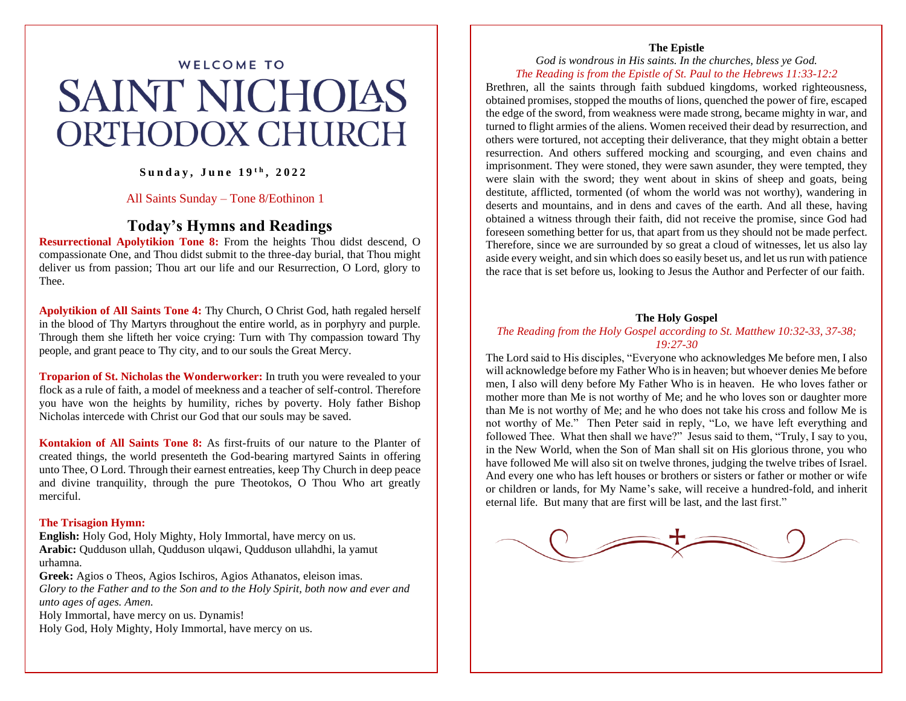# **WELCOME TO SAINT NICHOIAS ORTHODOX CHURCH**

**S u n d a y , J u n e 1 9 t h , 2 0 2 2**

### All Saints Sunday – Tone 8/Eothinon 1

## **Today's Hymns and Readings**

**Resurrectional Apolytikion Tone 8:** From the heights Thou didst descend, O compassionate One, and Thou didst submit to the three-day burial, that Thou might deliver us from passion; Thou art our life and our Resurrection, O Lord, glory to Thee.

**Apolytikion of All Saints Tone 4:** Thy Church, O Christ God, hath regaled herself in the blood of Thy Martyrs throughout the entire world, as in porphyry and purple. Through them she lifteth her voice crying: Turn with Thy compassion toward Thy people, and grant peace to Thy city, and to our souls the Great Mercy.

**Troparion of St. Nicholas the Wonderworker:** In truth you were revealed to your flock as a rule of faith, a model of meekness and a teacher of self-control. Therefore you have won the heights by humility, riches by poverty. Holy father Bishop Nicholas intercede with Christ our God that our souls may be saved.

**Kontakion of All Saints Tone 8:** As first-fruits of our nature to the Planter of created things, the world presenteth the God-bearing martyred Saints in offering unto Thee, O Lord. Through their earnest entreaties, keep Thy Church in deep peace and divine tranquility, through the pure Theotokos, O Thou Who art greatly merciful.

#### **The Trisagion Hymn:**

**English:** Holy God, Holy Mighty, Holy Immortal, have mercy on us. **Arabic:** Qudduson ullah, Qudduson ulqawi, Qudduson ullahdhi, la yamut urhamna.

**Greek:** Agios o Theos, Agios Ischiros, Agios Athanatos, eleison imas. *Glory to the Father and to the Son and to the Holy Spirit, both now and ever and unto ages of ages. Amen.* 

Holy Immortal, have mercy on us. Dynamis!

Holy God, Holy Mighty, Holy Immortal, have mercy on us.

#### **The Epistle**

*God is wondrous in His saints. In the churches, bless ye God. The Reading is from the Epistle of St. Paul to the Hebrews 11:33-12:2*

Brethren, all the saints through faith subdued kingdoms, worked righteousness, obtained promises, stopped the mouths of lions, quenched the power of fire, escaped the edge of the sword, from weakness were made strong, became mighty in war, and turned to flight armies of the aliens. Women received their dead by resurrection, and others were tortured, not accepting their deliverance, that they might obtain a better resurrection. And others suffered mocking and scourging, and even chains and imprisonment. They were stoned, they were sawn asunder, they were tempted, they were slain with the sword; they went about in skins of sheep and goats, being destitute, afflicted, tormented (of whom the world was not worthy), wandering in deserts and mountains, and in dens and caves of the earth. And all these, having obtained a witness through their faith, did not receive the promise, since God had foreseen something better for us, that apart from us they should not be made perfect. Therefore, since we are surrounded by so great a cloud of witnesses, let us also lay aside every weight, and sin which does so easily beset us, and let us run with patience the race that is set before us, looking to Jesus the Author and Perfecter of our faith.

#### **The Holy Gospel**

### *The Reading from the Holy Gospel according to St. Matthew 10:32-33, 37-38; 19:27-30*

The Lord said to His disciples, "Everyone who acknowledges Me before men, I also will acknowledge before my Father Who is in heaven; but whoever denies Me before men, I also will deny before My Father Who is in heaven. He who loves father or mother more than Me is not worthy of Me; and he who loves son or daughter more than Me is not worthy of Me; and he who does not take his cross and follow Me is not worthy of Me." Then Peter said in reply, "Lo, we have left everything and followed Thee. What then shall we have?" Jesus said to them, "Truly, I say to you, in the New World, when the Son of Man shall sit on His glorious throne, you who have followed Me will also sit on twelve thrones, judging the twelve tribes of Israel. And every one who has left houses or brothers or sisters or father or mother or wife or children or lands, for My Name's sake, will receive a hundred-fold, and inherit eternal life. But many that are first will be last, and the last first."